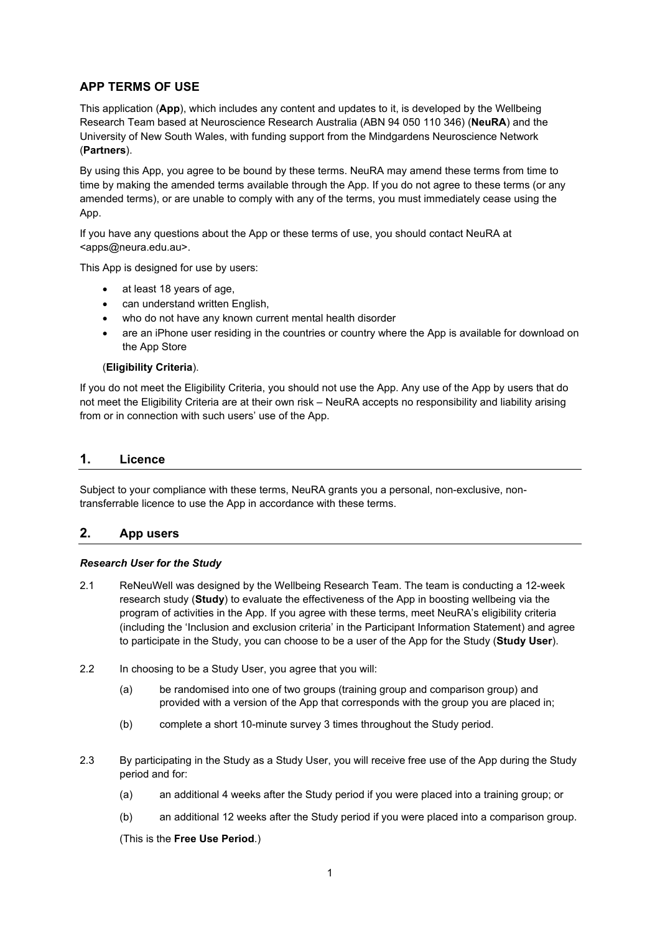### **APP TERMS OF USE**

This application (**App**), which includes any content and updates to it, is developed by the Wellbeing Research Team based at Neuroscience Research Australia (ABN 94 050 110 346) (**NeuRA**) and the University of New South Wales, with funding support from the Mindgardens Neuroscience Network (**Partners**).

By using this App, you agree to be bound by these terms. NeuRA may amend these terms from time to time by making the amended terms available through the App. If you do not agree to these terms (or any amended terms), or are unable to comply with any of the terms, you must immediately cease using the App.

If you have any questions about the App or these terms of use, you should contact NeuRA at <apps@neura.edu.au>.

This App is designed for use by users:

- at least 18 years of age,
- can understand written English,
- who do not have any known current mental health disorder
- are an iPhone user residing in the countries or country where the App is available for download on the App Store

#### (**Eligibility Criteria**).

If you do not meet the Eligibility Criteria, you should not use the App. Any use of the App by users that do not meet the Eligibility Criteria are at their own risk – NeuRA accepts no responsibility and liability arising from or in connection with such users' use of the App.

### **1. Licence**

Subject to your compliance with these terms, NeuRA grants you a personal, non-exclusive, nontransferrable licence to use the App in accordance with these terms.

## **2. App users**

#### *Research User for the Study*

- 2.1 ReNeuWell was designed by the Wellbeing Research Team. The team is conducting a 12-week research study (**Study**) to evaluate the effectiveness of the App in boosting wellbeing via the program of activities in the App. If you agree with these terms, meet NeuRA's eligibility criteria (including the 'Inclusion and exclusion criteria' in the Participant Information Statement) and agree to participate in the Study, you can choose to be a user of the App for the Study (**Study User**).
- 2.2 In choosing to be a Study User, you agree that you will:
	- (a) be randomised into one of two groups (training group and comparison group) and provided with a version of the App that corresponds with the group you are placed in;
	- (b) complete a short 10-minute survey 3 times throughout the Study period.
- 2.3 By participating in the Study as a Study User, you will receive free use of the App during the Study period and for:
	- (a) an additional 4 weeks after the Study period if you were placed into a training group; or
	- (b) an additional 12 weeks after the Study period if you were placed into a comparison group.

(This is the **Free Use Period**.)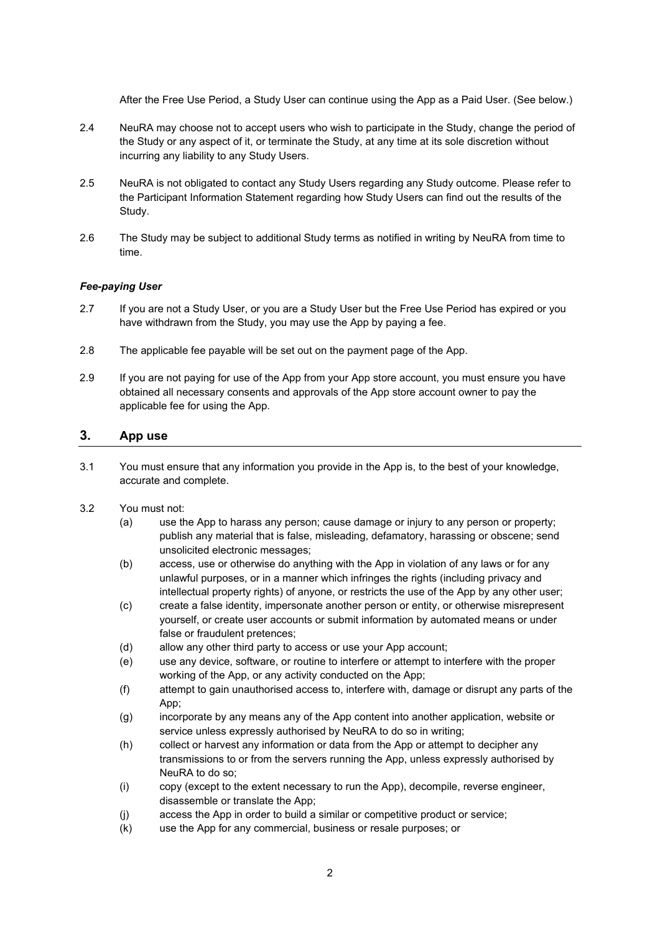After the Free Use Period, a Study User can continue using the App as a Paid User. (See below.)

- 2.4 NeuRA may choose not to accept users who wish to participate in the Study, change the period of the Study or any aspect of it, or terminate the Study, at any time at its sole discretion without incurring any liability to any Study Users.
- 2.5 NeuRA is not obligated to contact any Study Users regarding any Study outcome. Please refer to the Participant Information Statement regarding how Study Users can find out the results of the Study.
- 2.6 The Study may be subject to additional Study terms as notified in writing by NeuRA from time to time.

#### *Fee-paying User*

- 2.7 If you are not a Study User, or you are a Study User but the Free Use Period has expired or you have withdrawn from the Study, you may use the App by paying a fee.
- 2.8 The applicable fee payable will be set out on the payment page of the App.
- 2.9 If you are not paying for use of the App from your App store account, you must ensure you have obtained all necessary consents and approvals of the App store account owner to pay the applicable fee for using the App.

# **3. App use**

- 3.1 You must ensure that any information you provide in the App is, to the best of your knowledge, accurate and complete.
- 3.2 You must not:
	- (a) use the App to harass any person; cause damage or injury to any person or property; publish any material that is false, misleading, defamatory, harassing or obscene; send unsolicited electronic messages;
	- (b) access, use or otherwise do anything with the App in violation of any laws or for any unlawful purposes, or in a manner which infringes the rights (including privacy and intellectual property rights) of anyone, or restricts the use of the App by any other user;
	- (c) create a false identity, impersonate another person or entity, or otherwise misrepresent yourself, or create user accounts or submit information by automated means or under false or fraudulent pretences;
	- (d) allow any other third party to access or use your App account;
	- (e) use any device, software, or routine to interfere or attempt to interfere with the proper working of the App, or any activity conducted on the App;
	- (f) attempt to gain unauthorised access to, interfere with, damage or disrupt any parts of the App;
	- (g) incorporate by any means any of the App content into another application, website or service unless expressly authorised by NeuRA to do so in writing;
	- (h) collect or harvest any information or data from the App or attempt to decipher any transmissions to or from the servers running the App, unless expressly authorised by NeuRA to do so;
	- (i) copy (except to the extent necessary to run the App), decompile, reverse engineer, disassemble or translate the App;
	- (j) access the App in order to build a similar or competitive product or service;
	- (k) use the App for any commercial, business or resale purposes; or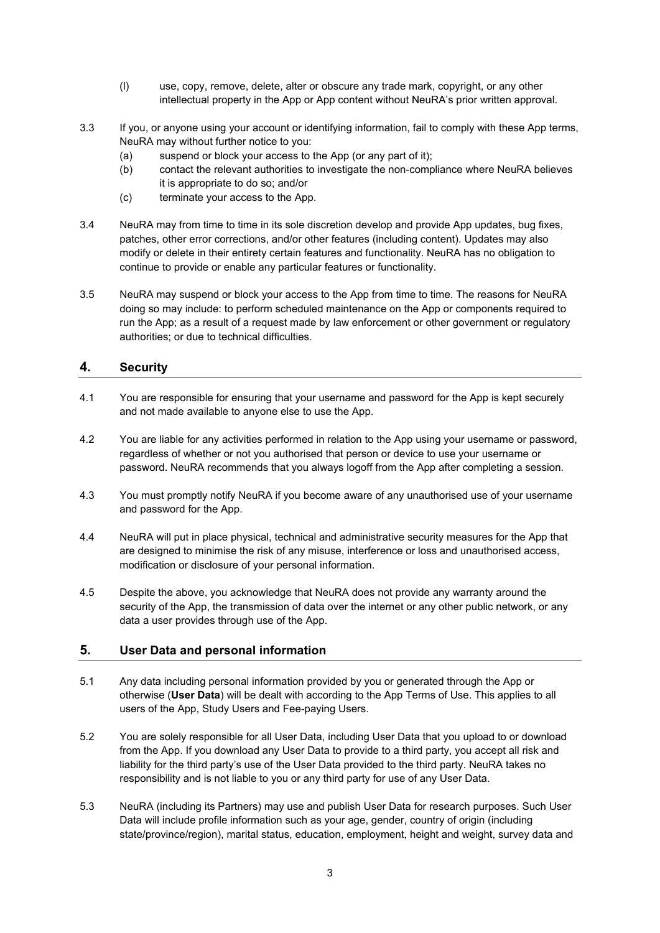- (l) use, copy, remove, delete, alter or obscure any trade mark, copyright, or any other intellectual property in the App or App content without NeuRA's prior written approval.
- 3.3 If you, or anyone using your account or identifying information, fail to comply with these App terms, NeuRA may without further notice to you:
	- (a) suspend or block your access to the App (or any part of it);
	- (b) contact the relevant authorities to investigate the non-compliance where NeuRA believes it is appropriate to do so; and/or
	- (c) terminate your access to the App.
- 3.4 NeuRA may from time to time in its sole discretion develop and provide App updates, bug fixes, patches, other error corrections, and/or other features (including content). Updates may also modify or delete in their entirety certain features and functionality. NeuRA has no obligation to continue to provide or enable any particular features or functionality.
- 3.5 NeuRA may suspend or block your access to the App from time to time. The reasons for NeuRA doing so may include: to perform scheduled maintenance on the App or components required to run the App; as a result of a request made by law enforcement or other government or regulatory authorities; or due to technical difficulties.

## **4. Security**

- 4.1 You are responsible for ensuring that your username and password for the App is kept securely and not made available to anyone else to use the App.
- 4.2 You are liable for any activities performed in relation to the App using your username or password, regardless of whether or not you authorised that person or device to use your username or password. NeuRA recommends that you always logoff from the App after completing a session.
- 4.3 You must promptly notify NeuRA if you become aware of any unauthorised use of your username and password for the App.
- 4.4 NeuRA will put in place physical, technical and administrative security measures for the App that are designed to minimise the risk of any misuse, interference or loss and unauthorised access, modification or disclosure of your personal information.
- 4.5 Despite the above, you acknowledge that NeuRA does not provide any warranty around the security of the App, the transmission of data over the internet or any other public network, or any data a user provides through use of the App.

#### **5. User Data and personal information**

- 5.1 Any data including personal information provided by you or generated through the App or otherwise (**User Data**) will be dealt with according to the App Terms of Use. This applies to all users of the App, Study Users and Fee-paying Users.
- 5.2 You are solely responsible for all User Data, including User Data that you upload to or download from the App. If you download any User Data to provide to a third party, you accept all risk and liability for the third party's use of the User Data provided to the third party. NeuRA takes no responsibility and is not liable to you or any third party for use of any User Data.
- 5.3 NeuRA (including its Partners) may use and publish User Data for research purposes. Such User Data will include profile information such as your age, gender, country of origin (including state/province/region), marital status, education, employment, height and weight, survey data and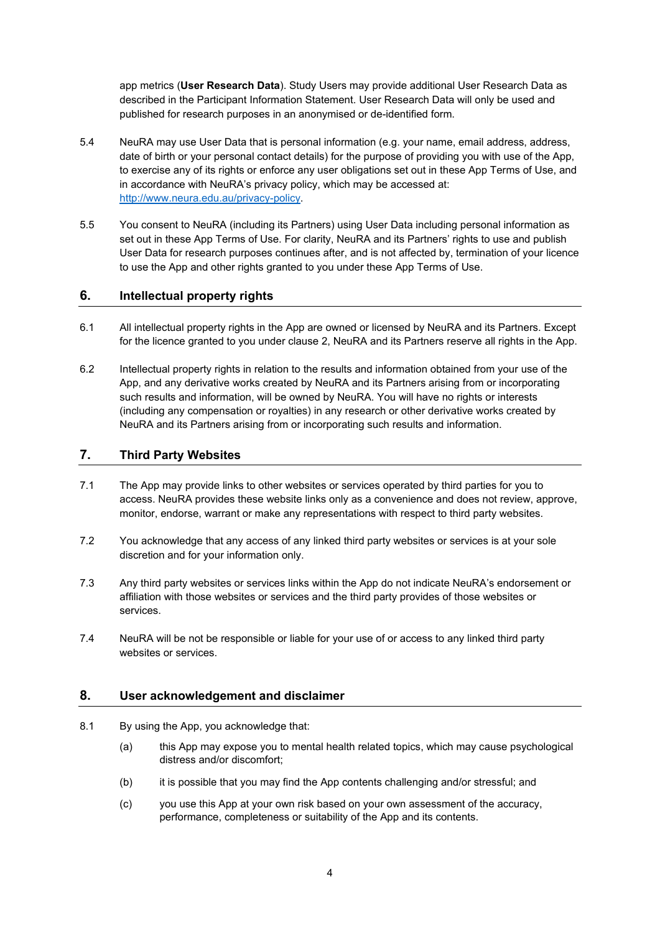app metrics (**User Research Data**). Study Users may provide additional User Research Data as described in the Participant Information Statement. User Research Data will only be used and published for research purposes in an anonymised or de-identified form.

- 5.4 NeuRA may use User Data that is personal information (e.g. your name, email address, address, date of birth or your personal contact details) for the purpose of providing you with use of the App, to exercise any of its rights or enforce any user obligations set out in these App Terms of Use, and in accordance with NeuRA's privacy policy, which may be accessed at: [http://www.neura.edu.au/privacy-policy.](http://www.neura.edu.au/privacy-policy)
- 5.5 You consent to NeuRA (including its Partners) using User Data including personal information as set out in these App Terms of Use. For clarity, NeuRA and its Partners' rights to use and publish User Data for research purposes continues after, and is not affected by, termination of your licence to use the App and other rights granted to you under these App Terms of Use.

### **6. Intellectual property rights**

- 6.1 All intellectual property rights in the App are owned or licensed by NeuRA and its Partners. Except for the licence granted to you under clause 2, NeuRA and its Partners reserve all rights in the App.
- 6.2 Intellectual property rights in relation to the results and information obtained from your use of the App, and any derivative works created by NeuRA and its Partners arising from or incorporating such results and information, will be owned by NeuRA. You will have no rights or interests (including any compensation or royalties) in any research or other derivative works created by NeuRA and its Partners arising from or incorporating such results and information.

### **7. Third Party Websites**

- 7.1 The App may provide links to other websites or services operated by third parties for you to access. NeuRA provides these website links only as a convenience and does not review, approve, monitor, endorse, warrant or make any representations with respect to third party websites.
- 7.2 You acknowledge that any access of any linked third party websites or services is at your sole discretion and for your information only.
- 7.3 Any third party websites or services links within the App do not indicate NeuRA's endorsement or affiliation with those websites or services and the third party provides of those websites or services.
- 7.4 NeuRA will be not be responsible or liable for your use of or access to any linked third party websites or services.

#### **8. User acknowledgement and disclaimer**

- 8.1 By using the App, you acknowledge that:
	- (a) this App may expose you to mental health related topics, which may cause psychological distress and/or discomfort;
	- (b) it is possible that you may find the App contents challenging and/or stressful; and
	- (c) you use this App at your own risk based on your own assessment of the accuracy, performance, completeness or suitability of the App and its contents.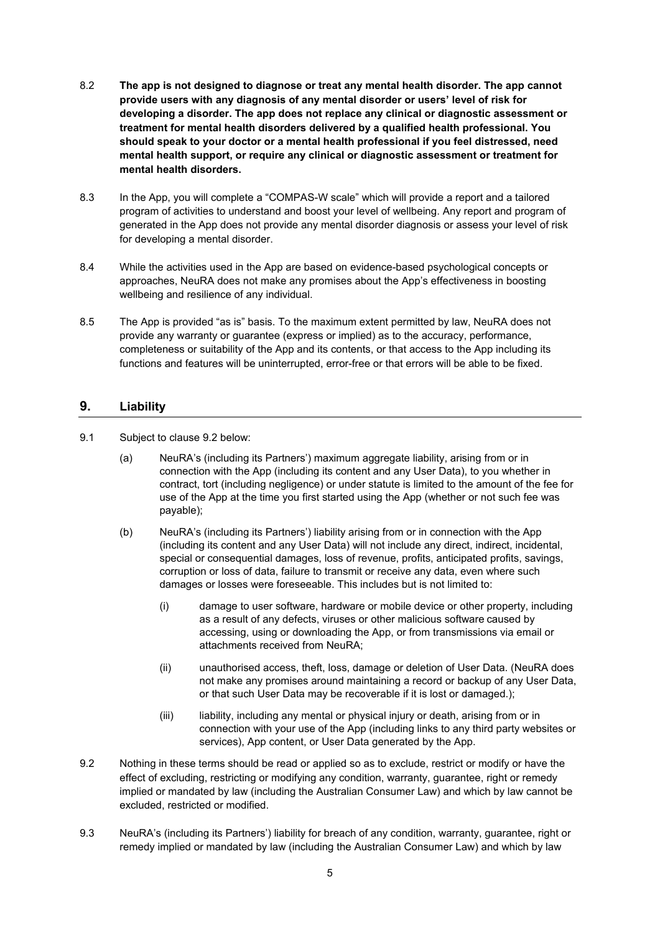- 8.2 **The app is not designed to diagnose or treat any mental health disorder. The app cannot provide users with any diagnosis of any mental disorder or users' level of risk for developing a disorder. The app does not replace any clinical or diagnostic assessment or treatment for mental health disorders delivered by a qualified health professional. You should speak to your doctor or a mental health professional if you feel distressed, need mental health support, or require any clinical or diagnostic assessment or treatment for mental health disorders.**
- 8.3 In the App, you will complete a "COMPAS-W scale" which will provide a report and a tailored program of activities to understand and boost your level of wellbeing. Any report and program of generated in the App does not provide any mental disorder diagnosis or assess your level of risk for developing a mental disorder.
- 8.4 While the activities used in the App are based on evidence-based psychological concepts or approaches, NeuRA does not make any promises about the App's effectiveness in boosting wellbeing and resilience of any individual.
- 8.5 The App is provided "as is" basis. To the maximum extent permitted by law, NeuRA does not provide any warranty or guarantee (express or implied) as to the accuracy, performance, completeness or suitability of the App and its contents, or that access to the App including its functions and features will be uninterrupted, error-free or that errors will be able to be fixed.

## **9. Liability**

- 9.1 Subject to clause [9.2](#page-4-0) below:
	- (a) NeuRA's (including its Partners') maximum aggregate liability, arising from or in connection with the App (including its content and any User Data), to you whether in contract, tort (including negligence) or under statute is limited to the amount of the fee for use of the App at the time you first started using the App (whether or not such fee was payable);
	- (b) NeuRA's (including its Partners') liability arising from or in connection with the App (including its content and any User Data) will not include any direct, indirect, incidental, special or consequential damages, loss of revenue, profits, anticipated profits, savings, corruption or loss of data, failure to transmit or receive any data, even where such damages or losses were foreseeable. This includes but is not limited to:
		- (i) damage to user software, hardware or mobile device or other property, including as a result of any defects, viruses or other malicious software caused by accessing, using or downloading the App, or from transmissions via email or attachments received from NeuRA;
		- (ii) unauthorised access, theft, loss, damage or deletion of User Data. (NeuRA does not make any promises around maintaining a record or backup of any User Data, or that such User Data may be recoverable if it is lost or damaged.);
		- (iii) liability, including any mental or physical injury or death, arising from or in connection with your use of the App (including links to any third party websites or services), App content, or User Data generated by the App.
- <span id="page-4-0"></span>9.2 Nothing in these terms should be read or applied so as to exclude, restrict or modify or have the effect of excluding, restricting or modifying any condition, warranty, guarantee, right or remedy implied or mandated by law (including the Australian Consumer Law) and which by law cannot be excluded, restricted or modified.
- 9.3 NeuRA's (including its Partners') liability for breach of any condition, warranty, guarantee, right or remedy implied or mandated by law (including the Australian Consumer Law) and which by law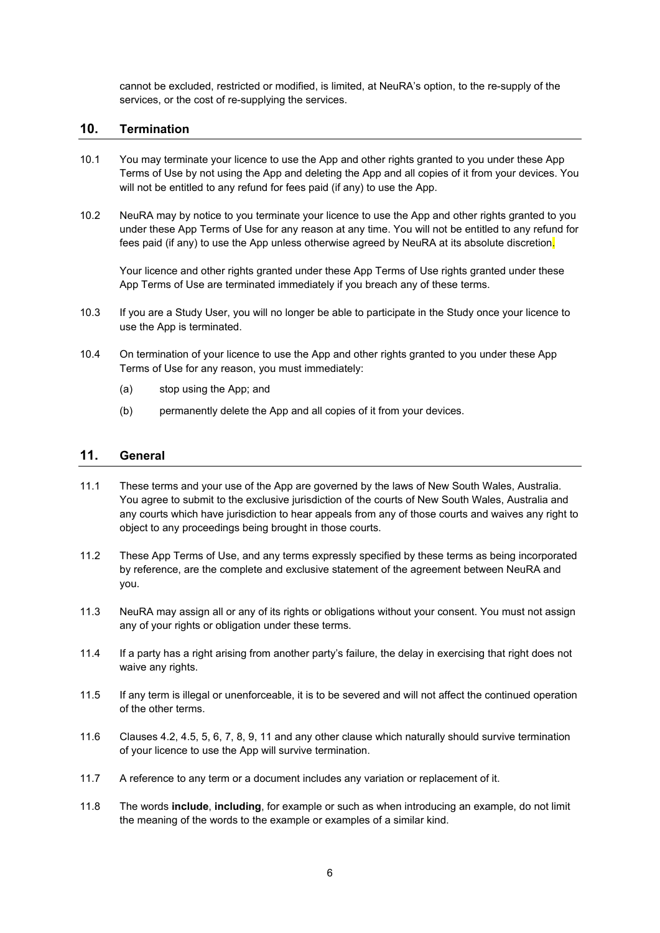cannot be excluded, restricted or modified, is limited, at NeuRA's option, to the re-supply of the services, or the cost of re-supplying the services.

### **10. Termination**

- 10.1 You may terminate your licence to use the App and other rights granted to you under these App Terms of Use by not using the App and deleting the App and all copies of it from your devices. You will not be entitled to any refund for fees paid (if any) to use the App.
- 10.2 NeuRA may by notice to you terminate your licence to use the App and other rights granted to you under these App Terms of Use for any reason at any time. You will not be entitled to any refund for fees paid (if any) to use the App unless otherwise agreed by NeuRA at its absolute discretion.

Your licence and other rights granted under these App Terms of Use rights granted under these App Terms of Use are terminated immediately if you breach any of these terms.

- 10.3 If you are a Study User, you will no longer be able to participate in the Study once your licence to use the App is terminated.
- 10.4 On termination of your licence to use the App and other rights granted to you under these App Terms of Use for any reason, you must immediately:
	- (a) stop using the App; and
	- (b) permanently delete the App and all copies of it from your devices.

### <span id="page-5-0"></span>**11. General**

- 11.1 These terms and your use of the App are governed by the laws of New South Wales, Australia. You agree to submit to the exclusive jurisdiction of the courts of New South Wales, Australia and any courts which have jurisdiction to hear appeals from any of those courts and waives any right to object to any proceedings being brought in those courts.
- 11.2 These App Terms of Use, and any terms expressly specified by these terms as being incorporated by reference, are the complete and exclusive statement of the agreement between NeuRA and you.
- 11.3 NeuRA may assign all or any of its rights or obligations without your consent. You must not assign any of your rights or obligation under these terms.
- 11.4 If a party has a right arising from another party's failure, the delay in exercising that right does not waive any rights.
- 11.5 If any term is illegal or unenforceable, it is to be severed and will not affect the continued operation of the other terms.
- 11.6 Clauses 4.2, 4.5, 5, 6, 7, 8, 9[, 11](#page-5-0) and any other clause which naturally should survive termination of your licence to use the App will survive termination.
- 11.7 A reference to any term or a document includes any variation or replacement of it.
- 11.8 The words **include**, **including**, for example or such as when introducing an example, do not limit the meaning of the words to the example or examples of a similar kind.